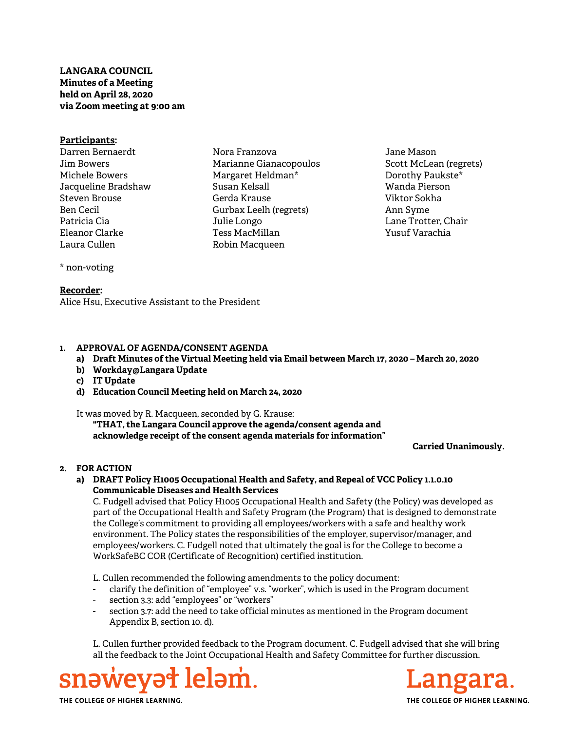# LANGARA COUNCIL Minutes of a Meeting held on April 28, 2020 via Zoom meeting at 9:00 am

### Participants:

Darren Bernaerdt Jim Bowers Michele Bowers Jacqueline Bradshaw Steven Brouse Ben Cecil Patricia Cia Eleanor Clarke Laura Cullen

Nora Franzova Marianne Gianacopoulos Margaret Heldman\* Susan Kelsall Gerda Krause Gurbax Leelh (regrets) Julie Longo Tess MacMillan Robin Macqueen

Jane Mason Scott McLean (regrets) Dorothy Paukste\* Wanda Pierson Viktor Sokha Ann Syme Lane Trotter, Chair Yusuf Varachia

# \* non-voting

### Recorder:

Alice Hsu, Executive Assistant to the President

# 1. APPROVAL OF AGENDA/CONSENT AGENDA

- a) Draft Minutes of the Virtual Meeting held via Email between March 17, 2020 March 20, 2020
- b) Workday@Langara Update
- c) IT Update
- d) Education Council Meeting held on March 24, 2020

#### It was moved by R. Macqueen, seconded by G. Krause:

"THAT, the Langara Council approve the agenda/consent agenda and acknowledge receipt of the consent agenda materials for information"

Carried Unanimously.

# 2. FOR ACTION

### a) DRAFT Policy H1005 Occupational Health and Safety, and Repeal of VCC Policy 1.1.0.10 Communicable Diseases and Health Services

C. Fudgell advised that Policy H1005 Occupational Health and Safety (the Policy) was developed as part of the Occupational Health and Safety Program (the Program) that is designed to demonstrate the College's commitment to providing all employees/workers with a safe and healthy work environment. The Policy states the responsibilities of the employer, supervisor/manager, and employees/workers. C. Fudgell noted that ultimately the goal is for the College to become a WorkSafeBC COR (Certificate of Recognition) certified institution.

L. Cullen recommended the following amendments to the policy document:

- clarify the definition of "employee" v.s. "worker", which is used in the Program document
- section 3.3: add "employees" or "workers"
- section 3.7: add the need to take official minutes as mentioned in the Program document Appendix B, section 10. d).

 L. Cullen further provided feedback to the Program document. C. Fudgell advised that she will bring all the feedback to the Joint Occupational Health and Safety Committee for further discussion.